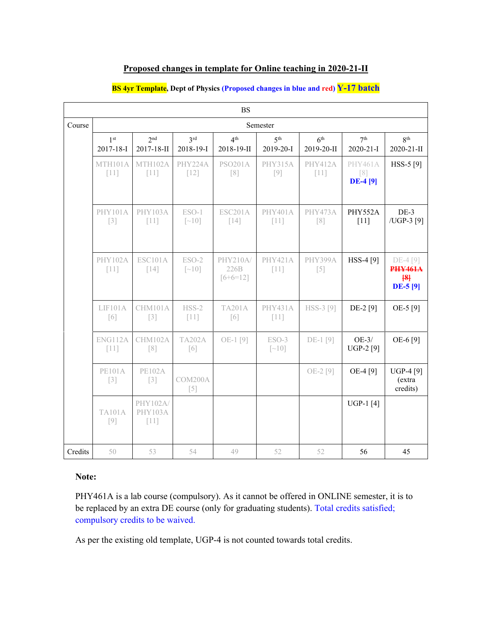| Proposed changes in template for Online teaching in 2020-21-II |  |  |  |  |
|----------------------------------------------------------------|--|--|--|--|
|----------------------------------------------------------------|--|--|--|--|

| <b>BS</b> |                              |                                      |                              |                                |                              |                               |                                                        |                                                  |  |
|-----------|------------------------------|--------------------------------------|------------------------------|--------------------------------|------------------------------|-------------------------------|--------------------------------------------------------|--------------------------------------------------|--|
| Course    | Semester                     |                                      |                              |                                |                              |                               |                                                        |                                                  |  |
|           | 1 <sup>st</sup><br>2017-18-I | 2 <sub>nd</sub><br>2017-18-II        | 3rd<br>2018-19-1             | 4 <sup>th</sup><br>2018-19-II  | 5 <sup>th</sup><br>2019-20-1 | 6 <sup>th</sup><br>2019-20-II | 7 <sup>th</sup><br>$2020 - 21 - I$                     | 8 <sup>th</sup><br>2020-21-II                    |  |
|           | MTH101A<br>$[11]$            | MTH102A<br>$[11]$                    | PHY224A<br>$[12]$            | <b>PSO201A</b><br>[8]          | PHY315A<br>[9]               | <b>PHY412A</b><br>$[11]$      | <b>PHY461A</b><br>$\lceil 8 \rceil$<br><b>DE-4 [9]</b> | HSS-5 [9]                                        |  |
|           | <b>PHY101A</b><br>$[3]$      | <b>PHY103A</b><br>$[11]$             | ESO-1<br>$\lceil -10 \rceil$ | ESC201A<br>$[14]$              | PHY401A<br>$[11]$            | PHY473A<br>[8]                | PHY552A<br>$[11]$                                      | $DE-3$<br>/UGP-3 [9]                             |  |
|           | <b>PHY102A</b><br>$[11]$     | <b>ESC101A</b><br>$[14]$             | ESO-2<br>$\lceil -10 \rceil$ | PHY210A/<br>226B<br>$[6+6=12]$ | <b>PHY421A</b><br>$[11]$     | PHY399A<br>$[5]$              | HSS-4 [9]                                              | DE-4 [9]<br><b>PHY461A</b><br>${8}$<br>$DE-5[9]$ |  |
|           | LIF101A<br>$\lceil 6 \rceil$ | CHM101A<br>$[3]$                     | $HSS-2$<br>$[11]$            | TA201A<br>[6]                  | <b>PHY431A</b><br>$[11]$     | HSS-3 [9]                     | DE-2 [9]                                               | OE-5 [9]                                         |  |
|           | ENG112A<br>$[11]$            | CHM102A<br>[8]                       | <b>TA202A</b><br>[6]         | OE-1[9]                        | ESO-3<br>$\lceil -10 \rceil$ | DE-1 [9]                      | $OE-3/$<br>UGP-2 [9]                                   | OE-6 [9]                                         |  |
|           | <b>PE101A</b><br>$[3]$       | <b>PE102A</b><br>$[3]$               | COM200A<br>$[5]$             |                                |                              | OE-2 [9]                      | OE-4 [9]                                               | <b>UGP-4</b> [9]<br>(extra<br>credits)           |  |
|           | <b>TA101A</b><br>[9]         | PHY102A/<br><b>PHY103A</b><br>$[11]$ |                              |                                |                              |                               | UGP-1 $[4]$                                            |                                                  |  |
| Credits   | 50                           | 53                                   | 54                           | 49                             | 52                           | 52                            | 56                                                     | 45                                               |  |

#### **BS 4yr Template, Dept of Physics (Proposed changes in blue and red) Y-17 batch**

# **Note:**

PHY461A is a lab course (compulsory). As it cannot be offered in ONLINE semester, it is to be replaced by an extra DE course (only for graduating students). Total credits satisfied; compulsory credits to be waived.

As per the existing old template, UGP-4 is not counted towards total credits.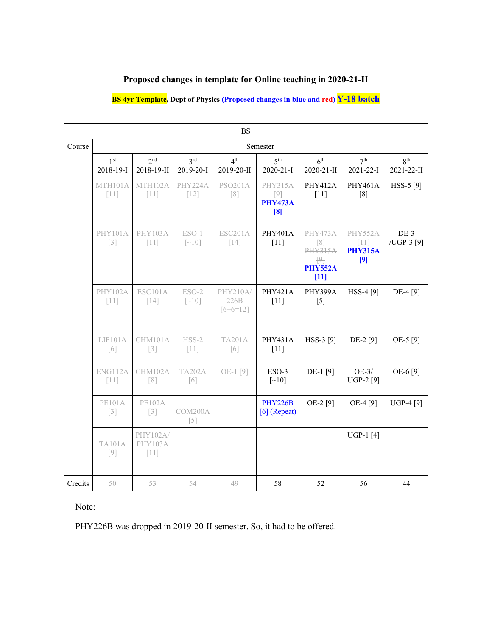### **Proposed changes in template for Online teaching in 2020-21-II**

# **BS 4yr Template, Dept of Physics (Proposed changes in blue and red) Y-18 batch**

|         | BS                           |                               |                                |                                |                                           |                                                                                |                                            |                               |  |  |  |
|---------|------------------------------|-------------------------------|--------------------------------|--------------------------------|-------------------------------------------|--------------------------------------------------------------------------------|--------------------------------------------|-------------------------------|--|--|--|
| Course  | Semester                     |                               |                                |                                |                                           |                                                                                |                                            |                               |  |  |  |
|         | 1 <sup>st</sup><br>2018-19-1 | 2 <sub>nd</sub><br>2018-19-II | 3 <sup>rd</sup><br>2019-20-1   | 4 <sup>th</sup><br>2019-20-II  | 5 <sup>th</sup><br>2020-21-I              | 6 <sup>th</sup><br>2020-21-II                                                  | 7 <sup>th</sup><br>2021-22-I               | 8 <sup>th</sup><br>2021-22-II |  |  |  |
|         | MTH101A<br>$[11]$            | MTH102A<br>$[11]$             | PHY224A<br>$[12]$              | <b>PSO201A</b><br>[8]          | PHY315A<br>$[9]$<br><b>PHY473A</b><br>[8] | <b>PHY412A</b><br>$[11]$                                                       | PHY461A<br>[8]                             | HSS-5 [9]                     |  |  |  |
|         | <b>PHY101A</b><br>$[3]$      | <b>PHY103A</b><br>$[11]$      | $ESO-1$<br>$\lceil -10 \rceil$ | ESC201A<br>$[14]$              | PHY401A<br>$[11]$                         | PHY473A<br>[8]<br><b>PHY315A</b><br>$\overline{P}$<br><b>PHY552A</b><br>$[11]$ | PHY552A<br>$[11]$<br><b>PHY315A</b><br>[9] | $DE-3$<br>/UGP-3 [9]          |  |  |  |
|         | <b>PHY102A</b><br>$[11]$     | <b>ESC101A</b><br>$[14]$      | ESO-2<br>$\lceil -10 \rceil$   | PHY210A/<br>226B<br>$[6+6=12]$ | <b>PHY421A</b><br>$[11]$                  | PHY399A<br>$[5]$                                                               | HSS-4 [9]                                  | DE-4 [9]                      |  |  |  |
|         | LIF101A<br>$\lceil 6 \rceil$ | CHM101A<br>$[3]$              | $HSS-2$<br>$[11]$              | <b>TA201A</b><br>[6]           | PHY431A<br>$[11]$                         | HSS-3 [9]                                                                      | DE-2 [9]                                   | OE-5 [9]                      |  |  |  |
|         | ENG112A<br>$[11]$            | CHM102A<br>[8]                | <b>TA202A</b><br>[6]           | OE-1[9]                        | ESO-3<br>$\lceil -10 \rceil$              | DE-1 [9]                                                                       | $OE-3/$<br><b>UGP-2</b> [9]                | OE-6 [9]                      |  |  |  |
|         | <b>PE101A</b><br>$[3]$       | <b>PE102A</b><br>$[3]$        | COM200A<br>$[5]$               |                                | <b>PHY226B</b><br>$[6]$ (Repeat)          | OE-2 [9]                                                                       | OE-4 [9]                                   | <b>UGP-4</b> [9]              |  |  |  |
|         | <b>TA101A</b><br>$[9]$       | PHY102A/<br>PHY103A<br>$[11]$ |                                |                                |                                           |                                                                                | <b>UGP-1</b> [4]                           |                               |  |  |  |
| Credits | 50                           | 53                            | 54                             | 49                             | 58                                        | 52                                                                             | 56                                         | 44                            |  |  |  |

Note:

PHY226B was dropped in 2019-20-II semester. So, it had to be offered.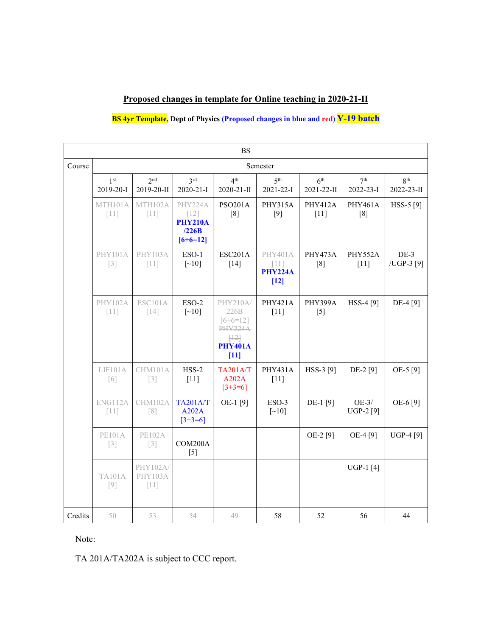# **Proposed changes in template for Online teaching in 2020-21-II**

### **BS 4yr Template, Dept of Physics (Proposed changes in blue and red) Y-19 batch**

|         | <b>BS</b>                    |                               |                                                            |                                                                                      |                                               |                               |                              |                               |  |  |
|---------|------------------------------|-------------------------------|------------------------------------------------------------|--------------------------------------------------------------------------------------|-----------------------------------------------|-------------------------------|------------------------------|-------------------------------|--|--|
| Course  | Semester                     |                               |                                                            |                                                                                      |                                               |                               |                              |                               |  |  |
|         | 1 <sup>st</sup><br>2019-20-I | 2 <sub>nd</sub><br>2019-20-II | 3rd<br>2020-21-I                                           | 4 <sup>th</sup><br>2020-21-II                                                        | 5 <sup>th</sup><br>2021-22-I                  | 6 <sup>th</sup><br>2021-22-II | 7 <sup>th</sup><br>2022-23-I | 8 <sup>th</sup><br>2022-23-II |  |  |
|         | MTH101A<br>$[11]$            | MTH102A<br>$[11]$             | PHY224A<br>$[12]$<br><b>PHY210A</b><br>/226B<br>$[6+6=12]$ | <b>PSO201A</b><br>[8]                                                                | PHY315A<br>$[9]$                              | <b>PHY412A</b><br>$[11]$      | <b>PHY461A</b><br>[8]        | HSS-5 [9]                     |  |  |
|         | PHY101A<br>$[3]$             | <b>PHY103A</b><br>$[11]$      | ESO-1<br>$\left[\sim\!10\right]$                           | <b>ESC201A</b><br>$[14]$                                                             | PHY401A<br>$[11]$<br><b>PHY224A</b><br>$[12]$ | PHY473A<br>[8]                | PHY552A<br>$[11]$            | $DE-3$<br>/UGP-3 [9]          |  |  |
|         | <b>PHY102A</b><br>$[11]$     | <b>ESC101A</b><br>$[14]$      | $ESO-2$<br>$\lceil$ ~10]                                   | PHY210A/<br>226B<br>$[6+6=12]$<br><b>PHY224A</b><br>[12]<br><b>PHY401A</b><br>$[11]$ | <b>PHY421A</b><br>$[11]$                      | PHY399A<br>$[5]$              | HSS-4 [9]                    | DE-4 [9]                      |  |  |
|         | LIF101A<br>[6]               | CHM101A<br>$\lceil 3 \rceil$  | $HSS-2$<br>$[11]$                                          | <b>TA201A/T</b><br>A202A<br>$[3+3=6]$                                                | PHY431A<br>$[11]$                             | HSS-3 [9]                     | DE-2 [9]                     | OE-5 [9]                      |  |  |
|         | ENG112A<br>$[11]$            | CHM102A<br>$\lceil 8 \rceil$  | <b>TA201A/T</b><br>A202A<br>$[3+3=6]$                      | OE-1[9]                                                                              | ESO-3<br>$\left[\sim\!10\right]$              | DE-1 [9]                      | $OE-3/$<br><b>UGP-2</b> [9]  | OE-6 [9]                      |  |  |
|         | <b>PE101A</b><br>$[3]$       | <b>PE102A</b><br>$[3]$        | COM200A<br>$[5]$                                           |                                                                                      |                                               | OE-2 [9]                      | OE-4 [9]                     | UGP-4 [9]                     |  |  |
|         | <b>TA101A</b><br>$[9]$       | PHY102A/<br>PHY103A<br>$[11]$ |                                                            |                                                                                      |                                               |                               | UGP-1 $[4]$                  |                               |  |  |
| Credits | 50                           | 53                            | 54                                                         | 49                                                                                   | 58                                            | 52                            | 56                           | 44                            |  |  |

Note:

TA 201A/TA202A is subject to CCC report.